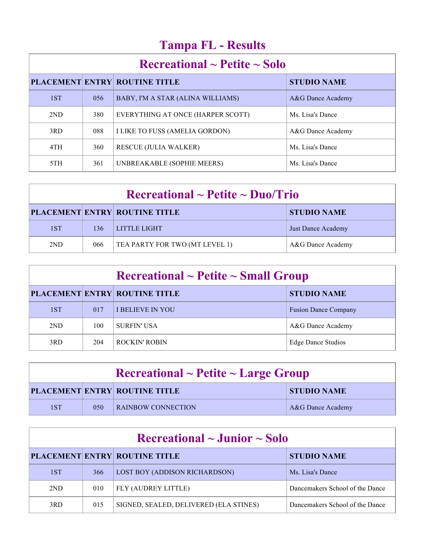# **Tampa FL - Results**

| $\rm Recreational \sim Peitite \sim Solo$ |     |                                      |                    |  |
|-------------------------------------------|-----|--------------------------------------|--------------------|--|
|                                           |     | <b>PLACEMENT ENTRY ROUTINE TITLE</b> | <b>STUDIO NAME</b> |  |
| 1ST                                       | 056 | BABY, I'M A STAR (ALINA WILLIAMS)    | A&G Dance Academy  |  |
| 2ND                                       | 380 | EVERYTHING AT ONCE (HARPER SCOTT)    | Ms. Lisa's Dance   |  |
| 3RD                                       | 088 | I LIKE TO FUSS (AMELIA GORDON)       | A&G Dance Academy  |  |
| 4TH                                       | 360 | <b>RESCUE (JULIA WALKER)</b>         | Ms. Lisa's Dance   |  |
| 5TH                                       | 361 | UNBREAKABLE (SOPHIE MEERS)           | Ms. Lisa's Dance   |  |

| $\rm Recreational \sim Pettite \sim Duo/Trio$ |     |                                      |                           |  |
|-----------------------------------------------|-----|--------------------------------------|---------------------------|--|
|                                               |     | <b>PLACEMENT ENTRY ROUTINE TITLE</b> | <b>STUDIO NAME</b>        |  |
| 1ST                                           | 136 | LITTLE LIGHT                         | <b>Just Dance Academy</b> |  |
| 2ND                                           | 066 | TEA PARTY FOR TWO (MT LEVEL 1)       | A&G Dance Academy         |  |

| $\rm Recreational \sim Petite \sim Small~Group$ |     |                                      |                             |  |
|-------------------------------------------------|-----|--------------------------------------|-----------------------------|--|
|                                                 |     | <b>PLACEMENT ENTRY ROUTINE TITLE</b> | <b>STUDIO NAME</b>          |  |
| 1ST                                             | 017 | <b>I BELIEVE IN YOU</b>              | <b>Fusion Dance Company</b> |  |
| 2ND                                             | 100 | <b>SURFIN' USA</b>                   | A&G Dance Academy           |  |
| 3RD                                             | 204 | <b>ROCKIN' ROBIN</b>                 | <b>Edge Dance Studios</b>   |  |

| $\textbf{Recreational} \sim \textbf{Pettie} \sim \textbf{Large Group}$ |     |                                      |                    |  |
|------------------------------------------------------------------------|-----|--------------------------------------|--------------------|--|
|                                                                        |     | <b>PLACEMENT ENTRY ROUTINE TITLE</b> | <b>STUDIO NAME</b> |  |
| 1ST                                                                    | 050 | <b>RAINBOW CONNECTION</b>            | A&G Dance Academy  |  |

| Recreational $\sim$ Junior $\sim$ Solo |     |                                        |                                 |  |
|----------------------------------------|-----|----------------------------------------|---------------------------------|--|
|                                        |     | <b>PLACEMENT ENTRY ROUTINE TITLE</b>   | <b>STUDIO NAME</b>              |  |
| 1ST                                    | 366 | <b>LOST BOY (ADDISON RICHARDSON)</b>   | Ms. Lisa's Dance                |  |
| 2ND                                    | 010 | FLY (AUDREY LITTLE)                    | Dancemakers School of the Dance |  |
| 3RD                                    | 015 | SIGNED, SEALED, DELIVERED (ELA STINES) | Dancemakers School of the Dance |  |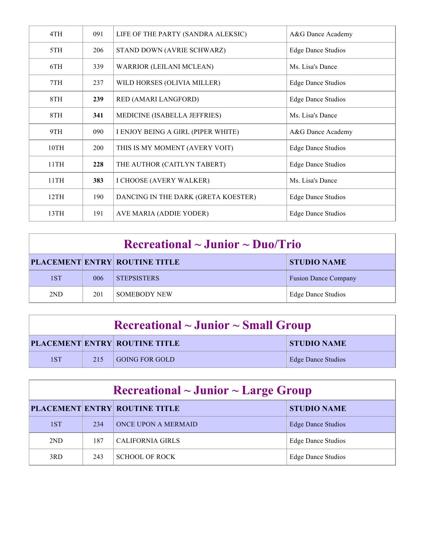| 4TH  | 091        | LIFE OF THE PARTY (SANDRA ALEKSIC)  | A&G Dance Academy         |
|------|------------|-------------------------------------|---------------------------|
| 5TH  | 206        | STAND DOWN (AVRIE SCHWARZ)          | <b>Edge Dance Studios</b> |
| 6TH  | 339        | <b>WARRIOR (LEILANI MCLEAN)</b>     | Ms. Lisa's Dance          |
| 7TH  | 237        | WILD HORSES (OLIVIA MILLER)         | <b>Edge Dance Studios</b> |
| 8TH  | 239        | RED (AMARI LANGFORD)                | <b>Edge Dance Studios</b> |
| 8TH  | 341        | MEDICINE (ISABELLA JEFFRIES)        | Ms. Lisa's Dance          |
| 9TH  | 090        | I ENJOY BEING A GIRL (PIPER WHITE)  | A&G Dance Academy         |
| 10TH | <b>200</b> | THIS IS MY MOMENT (AVERY VOIT)      | <b>Edge Dance Studios</b> |
| 11TH | 228        | THE AUTHOR (CAITLYN TABERT)         | <b>Edge Dance Studios</b> |
| 11TH | 383        | I CHOOSE (AVERY WALKER)             | Ms. Lisa's Dance          |
| 12TH | 190        | DANCING IN THE DARK (GRETA KOESTER) | <b>Edge Dance Studios</b> |
| 13TH | 191        | AVE MARIA (ADDIE YODER)             | <b>Edge Dance Studios</b> |

| $\rm Recreational \sim J$ unior ~ Duo/Trio |     |                                      |                             |
|--------------------------------------------|-----|--------------------------------------|-----------------------------|
|                                            |     | <b>PLACEMENT ENTRY ROUTINE TITLE</b> | <b>STUDIO NAME</b>          |
| 1ST                                        | 006 | <b>STEPSISTERS</b>                   | <b>Fusion Dance Company</b> |
| 2ND                                        | 201 | <b>SOMEBODY NEW</b>                  | <b>Edge Dance Studios</b>   |

| $\rm Recreational \sim Junior \sim Small~Group$ |     |                                      |                    |  |
|-------------------------------------------------|-----|--------------------------------------|--------------------|--|
|                                                 |     | <b>PLACEMENT ENTRY ROUTINE TITLE</b> | <b>STUDIO NAME</b> |  |
| 1ST                                             | 215 | <b>GOING FOR GOLD</b>                | Edge Dance Studios |  |
|                                                 |     |                                      |                    |  |

| $\rm Recreational \sim Junior \sim Large\ Group$ |     |                                      |                           |  |
|--------------------------------------------------|-----|--------------------------------------|---------------------------|--|
|                                                  |     | <b>PLACEMENT ENTRY ROUTINE TITLE</b> | <b>STUDIO NAME</b>        |  |
| 1ST                                              | 234 | ONCE UPON A MERMAID                  | <b>Edge Dance Studios</b> |  |
| 2ND                                              | 187 | CALIFORNIA GIRLS                     | <b>Edge Dance Studios</b> |  |
| 3RD                                              | 243 | <b>SCHOOL OF ROCK</b>                | Edge Dance Studios        |  |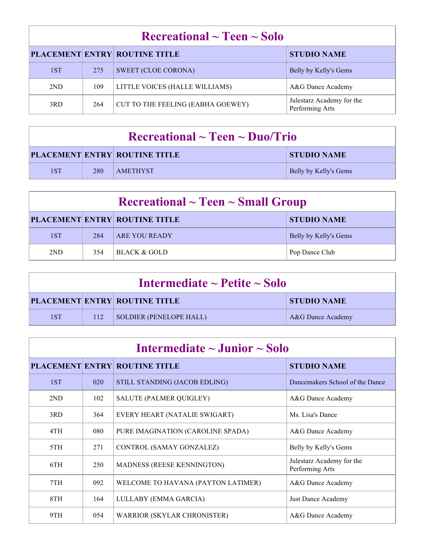| Recreational $\sim$ Teen $\sim$ Solo |     |                                      |                                              |  |
|--------------------------------------|-----|--------------------------------------|----------------------------------------------|--|
|                                      |     | <b>PLACEMENT ENTRY ROUTINE TITLE</b> | <b>STUDIO NAME</b>                           |  |
| 1ST                                  | 275 | <b>SWEET (CLOE CORONA)</b>           | Belly by Kelly's Gems                        |  |
| 2ND                                  | 109 | LITTLE VOICES (HALLE WILLIAMS)       | A&G Dance Academy                            |  |
| 3RD                                  | 264 | CUT TO THE FEELING (EABHA GOEWEY)    | Julestarz Academy for the<br>Performing Arts |  |

| $\rm Recreational \sim Teen \sim Duo/Trio$ |     |                                      |                       |  |
|--------------------------------------------|-----|--------------------------------------|-----------------------|--|
|                                            |     | <b>PLACEMENT ENTRY ROUTINE TITLE</b> | STUDIO NAME           |  |
| 1ST                                        | 280 | <b>AMETHYST</b>                      | Belly by Kelly's Gems |  |

| $\rm Recreational \sim Teen \sim Small\,\, Group$ |     |                                      |                       |  |
|---------------------------------------------------|-----|--------------------------------------|-----------------------|--|
|                                                   |     | <b>PLACEMENT ENTRY ROUTINE TITLE</b> | <b>STUDIO NAME</b>    |  |
| 1ST                                               | 284 | <b>ARE YOU READY</b>                 | Belly by Kelly's Gems |  |
| 2ND                                               | 354 | BLACK & GOLD                         | Pop Dance Club        |  |

| Intermediate $\sim$ Petite $\sim$ Solo |     |                                      |                    |
|----------------------------------------|-----|--------------------------------------|--------------------|
|                                        |     | <b>PLACEMENT ENTRY ROUTINE TITLE</b> | <b>STUDIO NAME</b> |
| 1ST                                    | 112 | SOLDIER (PENELOPE HALL)              | A&G Dance Academy  |

| Intermediate $\sim$ Junior $\sim$ Solo |     |                                      |                                              |
|----------------------------------------|-----|--------------------------------------|----------------------------------------------|
|                                        |     | <b>PLACEMENT ENTRY ROUTINE TITLE</b> | <b>STUDIO NAME</b>                           |
| 1ST                                    | 020 | STILL STANDING (JACOB EDLING)        | Dancemakers School of the Dance              |
| 2ND                                    | 102 | <b>SALUTE (PALMER QUIGLEY)</b>       | A&G Dance Academy                            |
| 3RD                                    | 364 | EVERY HEART (NATALIE SWIGART)        | Ms. Lisa's Dance                             |
| 4TH                                    | 080 | PURE IMAGINATION (CAROLINE SPADA)    | A&G Dance Academy                            |
| 5TH                                    | 271 | CONTROL (SAMAY GONZALEZ)             | Belly by Kelly's Gems                        |
| 6TH                                    | 250 | MADNESS (REESE KENNINGTON)           | Julestarz Academy for the<br>Performing Arts |
| 7TH                                    | 092 | WELCOME TO HAVANA (PAYTON LATIMER)   | A&G Dance Academy                            |
| 8TH                                    | 164 | LULLABY (EMMA GARCIA)                | Just Dance Academy                           |
| 9TH                                    | 054 | <b>WARRIOR (SKYLAR CHRONISTER)</b>   | A&G Dance Academy                            |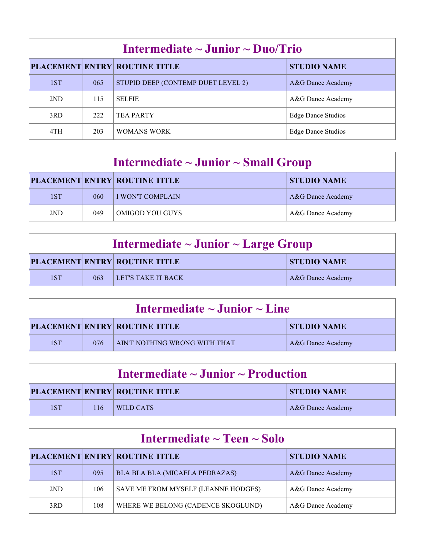| Intermediate $\sim$ Junior $\sim$ Duo/Trio |     |                                      |                           |
|--------------------------------------------|-----|--------------------------------------|---------------------------|
|                                            |     | <b>PLACEMENT ENTRY ROUTINE TITLE</b> | <b>STUDIO NAME</b>        |
| 1ST                                        | 065 | STUPID DEEP (CONTEMP DUET LEVEL 2)   | A&G Dance Academy         |
| 2ND                                        | 115 | <b>SELFIE</b>                        | A&G Dance Academy         |
| 3RD                                        | 222 | <b>TEA PARTY</b>                     | <b>Edge Dance Studios</b> |
| 4TH                                        | 203 | WOMANS WORK                          | Edge Dance Studios        |

| Intermediate $\sim$ Junior $\sim$ Small Group |     |                                      |                    |
|-----------------------------------------------|-----|--------------------------------------|--------------------|
|                                               |     | <b>PLACEMENT ENTRY ROUTINE TITLE</b> | <b>STUDIO NAME</b> |
| 1ST                                           | 060 | I WON'T COMPLAIN                     | A&G Dance Academy  |
| 2ND                                           | 049 | <b>OMIGOD YOU GUYS</b>               | A&G Dance Academy  |

| Intermediate $\sim$ Junior $\sim$ Large Group |     |                                      |                    |
|-----------------------------------------------|-----|--------------------------------------|--------------------|
|                                               |     | <b>PLACEMENT ENTRY ROUTINE TITLE</b> | <b>STUDIO NAME</b> |
| 1ST                                           | 063 | LET'S TAKE IT BACK                   | A&G Dance Academy  |

| Intermediate $\sim$ Junior $\sim$ Line |     |                                      |                    |
|----------------------------------------|-----|--------------------------------------|--------------------|
|                                        |     | <b>PLACEMENT ENTRY ROUTINE TITLE</b> | <b>STUDIO NAME</b> |
| 1ST                                    | 076 | AIN'T NOTHING WRONG WITH THAT        | A&G Dance Academy  |

| Intermediate $\sim$ Junior $\sim$ Production |     |                                      |                    |
|----------------------------------------------|-----|--------------------------------------|--------------------|
|                                              |     | <b>PLACEMENT ENTRY ROUTINE TITLE</b> | <b>STUDIO NAME</b> |
| 1ST                                          | 116 | WILD CATS                            | A&G Dance Academy  |

| Intermediate $\sim$ Teen $\sim$ Solo |     |                                      |                    |
|--------------------------------------|-----|--------------------------------------|--------------------|
|                                      |     | <b>PLACEMENT ENTRY ROUTINE TITLE</b> | <b>STUDIO NAME</b> |
| 1ST                                  | 095 | BLA BLA BLA (MICAELA PEDRAZAS)       | A&G Dance Academy  |
| 2ND                                  | 106 | SAVE ME FROM MYSELF (LEANNE HODGES)  | A&G Dance Academy  |
| 3RD                                  | 108 | WHERE WE BELONG (CADENCE SKOGLUND)   | A&G Dance Academy  |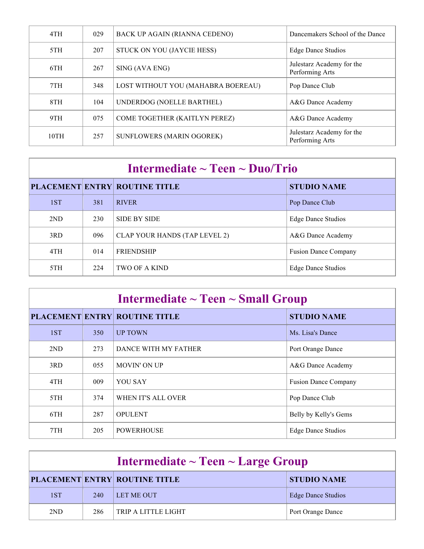| 4TH  | 029 | <b>BACK UP AGAIN (RIANNA CEDENO)</b> | Dancemakers School of the Dance              |
|------|-----|--------------------------------------|----------------------------------------------|
| 5TH  | 207 | STUCK ON YOU (JAYCIE HESS)           | <b>Edge Dance Studios</b>                    |
| 6TH  | 267 | SING (AVA ENG)                       | Julestarz Academy for the<br>Performing Arts |
| 7TH  | 348 | LOST WITHOUT YOU (MAHABRA BOEREAU)   | Pop Dance Club                               |
| 8TH  | 104 | UNDERDOG (NOELLE BARTHEL)            | A&G Dance Academy                            |
| 9TH  | 075 | COME TOGETHER (KAITLYN PEREZ)        | A&G Dance Academy                            |
| 10TH | 257 | <b>SUNFLOWERS (MARIN OGOREK)</b>     | Julestarz Academy for the<br>Performing Arts |

|     |     | <b>PLACEMENT ENTRY ROUTINE TITLE</b> | <b>STUDIO NAME</b>          |
|-----|-----|--------------------------------------|-----------------------------|
| 1ST | 381 | <b>RIVER</b>                         | Pop Dance Club              |
| 2ND | 230 | <b>SIDE BY SIDE</b>                  | Edge Dance Studios          |
| 3RD | 096 | CLAP YOUR HANDS (TAP LEVEL 2)        | A&G Dance Academy           |
| 4TH | 014 | <b>FRIENDSHIP</b>                    | <b>Fusion Dance Company</b> |
| 5TH | 224 | <b>TWO OF A KIND</b>                 | Edge Dance Studios          |

| Intermediate $\sim$ Teen $\sim$ Small Group |     |                      |                             |
|---------------------------------------------|-----|----------------------|-----------------------------|
| <b>PLACEMENT ENTRY ROUTINE TITLE</b>        |     |                      | <b>STUDIO NAME</b>          |
| 1ST                                         | 350 | <b>UP TOWN</b>       | Ms. Lisa's Dance            |
| 2ND                                         | 273 | DANCE WITH MY FATHER | Port Orange Dance           |
| 3RD                                         | 055 | <b>MOVIN' ON UP</b>  | A&G Dance Academy           |
| 4TH                                         | 009 | <b>YOU SAY</b>       | <b>Fusion Dance Company</b> |
| 5TH                                         | 374 | WHEN IT'S ALL OVER   | Pop Dance Club              |
| 6TH                                         | 287 | <b>OPULENT</b>       | Belly by Kelly's Gems       |
| 7TH                                         | 205 | <b>POWERHOUSE</b>    | <b>Edge Dance Studios</b>   |

| Intermediate $\sim$ Teen $\sim$ Large Group |     |                                      |                           |  |
|---------------------------------------------|-----|--------------------------------------|---------------------------|--|
|                                             |     | <b>PLACEMENT ENTRY ROUTINE TITLE</b> | <b>STUDIO NAME</b>        |  |
| 1ST                                         | 240 | LET ME OUT                           | <b>Edge Dance Studios</b> |  |
| 2ND                                         | 286 | TRIP A LITTLE LIGHT                  | Port Orange Dance         |  |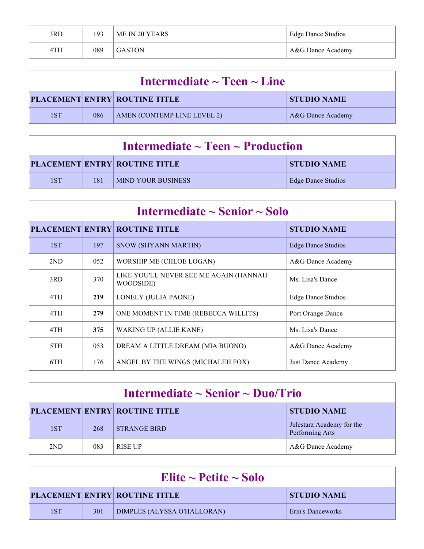| 3RD | 193 | ME IN 20 YEARS | Edge Dance Studios |
|-----|-----|----------------|--------------------|
| 4TH | 089 | <b>GASTON</b>  | A&G Dance Academy  |

| Intermediate $\sim$ Teen $\sim$ Line |     |                                      |                    |
|--------------------------------------|-----|--------------------------------------|--------------------|
|                                      |     | <b>PLACEMENT ENTRY ROUTINE TITLE</b> | <b>STUDIO NAME</b> |
| 1ST                                  | 086 | AMEN (CONTEMP LINE LEVEL 2)          | A&G Dance Academy  |

| Intermediate $\sim$ Teen $\sim$ Production |     |                                      |                    |
|--------------------------------------------|-----|--------------------------------------|--------------------|
|                                            |     | <b>PLACEMENT ENTRY ROUTINE TITLE</b> | <b>STUDIO NAME</b> |
| 1ST                                        | 181 | <b>MIND YOUR BUSINESS</b>            | Edge Dance Studios |

| Intermediate $\sim$ Senior $\sim$ Solo |     |                                                     |                    |  |
|----------------------------------------|-----|-----------------------------------------------------|--------------------|--|
|                                        |     | <b>PLACEMENT ENTRY ROUTINE TITLE</b>                | <b>STUDIO NAME</b> |  |
| 1ST                                    | 197 | <b>SNOW (SHYANN MARTIN)</b>                         | Edge Dance Studios |  |
| 2ND                                    | 052 | WORSHIP ME (CHLOE LOGAN)                            | A&G Dance Academy  |  |
| 3RD                                    | 370 | LIKE YOU'LL NEVER SEE ME AGAIN (HANNAH<br>WOODSIDE) | Ms. Lisa's Dance   |  |
| 4TH                                    | 219 | LONELY (JULIA PAONE)                                | Edge Dance Studios |  |
| 4TH                                    | 279 | ONE MOMENT IN TIME (REBECCA WILLITS)                | Port Orange Dance  |  |
| 4TH                                    | 375 | <b>WAKING UP (ALLIE KANE)</b>                       | Ms. Lisa's Dance   |  |
| 5TH                                    | 053 | DREAM A LITTLE DREAM (MIA BUONO)                    | A&G Dance Academy  |  |
| 6TH                                    | 176 | ANGEL BY THE WINGS (MICHALEH FOX)                   | Just Dance Academy |  |

| Intermediate $\sim$ Senior $\sim$ Duo/Trio |     |                                      |                                              |  |
|--------------------------------------------|-----|--------------------------------------|----------------------------------------------|--|
|                                            |     | <b>PLACEMENT ENTRY ROUTINE TITLE</b> | <b>STUDIO NAME</b>                           |  |
| 1ST                                        | 268 | <b>STRANGE BIRD</b>                  | Julestarz Academy for the<br>Performing Arts |  |
| 2ND                                        | 083 | <b>RISE UP</b>                       | A&G Dance Academy                            |  |

| Elite $\sim$ Petite $\sim$ Solo |     |                                      |                    |
|---------------------------------|-----|--------------------------------------|--------------------|
|                                 |     | <b>PLACEMENT ENTRY ROUTINE TITLE</b> | <b>STUDIO NAME</b> |
| 1ST                             | 301 | DIMPLES (ALYSSA O'HALLORAN)          | Erin's Danceworks  |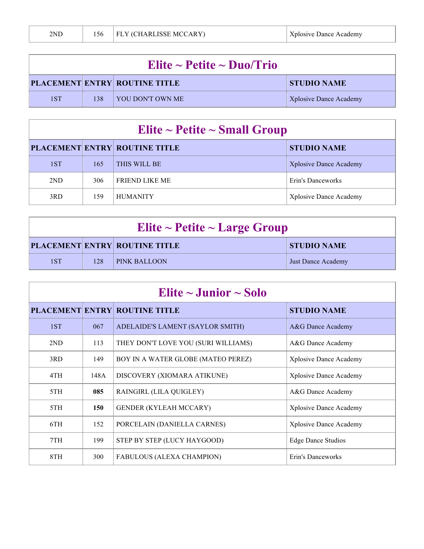| Elite ~ Petite ~ Duo/Trio |     |                                      |                        |
|---------------------------|-----|--------------------------------------|------------------------|
|                           |     | <b>PLACEMENT ENTRY ROUTINE TITLE</b> | STUDIO NAME            |
| 1ST                       | 138 | I YOU DON'T OWN ME                   | Xplosive Dance Academy |

| Elite ~ Petite ~ Small Group |     |                                      |                               |  |
|------------------------------|-----|--------------------------------------|-------------------------------|--|
|                              |     | <b>PLACEMENT ENTRY ROUTINE TITLE</b> | <b>STUDIO NAME</b>            |  |
| 1ST                          | 165 | THIS WILL BE                         | <b>Xplosive Dance Academy</b> |  |
| 2ND                          | 306 | <b>FRIEND LIKE ME</b>                | Erin's Danceworks             |  |
| 3RD                          | 159 | <b>HUMANITY</b>                      | <b>Xplosive Dance Academy</b> |  |

| Elite $\sim$ Petite $\sim$ Large Group |     |                                      |                    |
|----------------------------------------|-----|--------------------------------------|--------------------|
|                                        |     | <b>PLACEMENT ENTRY ROUTINE TITLE</b> | <b>STUDIO NAME</b> |
| 1ST                                    | 128 | <b>PINK BALLOON</b>                  | Just Dance Academy |

| Elite $\sim$ Junior $\sim$ Solo |      |                                      |                           |
|---------------------------------|------|--------------------------------------|---------------------------|
|                                 |      | <b>PLACEMENT ENTRY ROUTINE TITLE</b> | <b>STUDIO NAME</b>        |
| 1ST                             | 067  | ADELAIDE'S LAMENT (SAYLOR SMITH)     | A&G Dance Academy         |
| 2ND                             | 113  | THEY DON'T LOVE YOU (SURI WILLIAMS)  | A&G Dance Academy         |
| 3RD                             | 149  | BOY IN A WATER GLOBE (MATEO PEREZ)   | Xplosive Dance Academy    |
| 4TH                             | 148A | DISCOVERY (XIOMARA ATIKUNE)          | Xplosive Dance Academy    |
| 5TH                             | 085  | RAINGIRL (LILA QUIGLEY)              | A&G Dance Academy         |
| 5TH                             | 150  | <b>GENDER (KYLEAH MCCARY)</b>        | Xplosive Dance Academy    |
| 6TH                             | 152  | PORCELAIN (DANIELLA CARNES)          | Xplosive Dance Academy    |
| 7TH                             | 199  | STEP BY STEP (LUCY HAYGOOD)          | <b>Edge Dance Studios</b> |
| 8TH                             | 300  | FABULOUS (ALEXA CHAMPION)            | Erin's Danceworks         |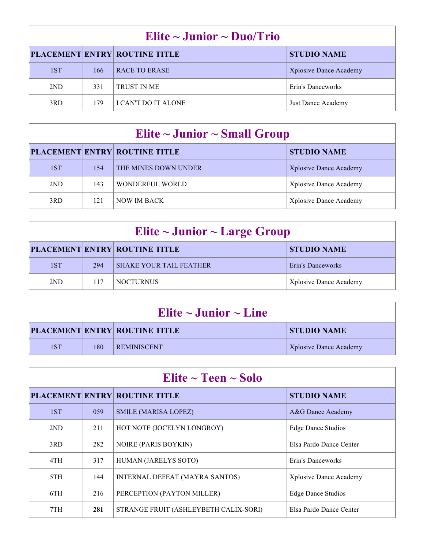| Elite $\sim$ Junior $\sim$ Duo/Trio |     |                                      |                               |
|-------------------------------------|-----|--------------------------------------|-------------------------------|
|                                     |     | <b>PLACEMENT ENTRY ROUTINE TITLE</b> | <b>STUDIO NAME</b>            |
| 1ST                                 | 166 | RACE TO ERASE                        | <b>Xplosive Dance Academy</b> |
| 2ND                                 | 331 | <b>TRUST IN ME</b>                   | Erin's Danceworks             |
| 3RD                                 | 179 | <b>I CAN'T DO IT ALONE</b>           | Just Dance Academy            |

| Elite $\sim$ Junior $\sim$ Small Group |     |                                      |                               |
|----------------------------------------|-----|--------------------------------------|-------------------------------|
|                                        |     | <b>PLACEMENT ENTRY ROUTINE TITLE</b> | <b>STUDIO NAME</b>            |
| 1ST                                    | 154 | THE MINES DOWN UNDER                 | <b>Xplosive Dance Academy</b> |
| 2ND                                    | 143 | WONDERFUL WORLD                      | <b>Xplosive Dance Academy</b> |
| 3RD                                    | 121 | NOW IM BACK                          | <b>Xplosive Dance Academy</b> |

| Elite ~ Junior ~ Large Group |     |                                      |                        |
|------------------------------|-----|--------------------------------------|------------------------|
|                              |     | <b>PLACEMENT ENTRY ROUTINE TITLE</b> | <b>STUDIO NAME</b>     |
| 1ST                          | 294 | <b>SHAKE YOUR TAIL FEATHER</b>       | Erin's Danceworks      |
| 2ND                          | 117 | <b>NOCTURNUS</b>                     | Xplosive Dance Academy |

| Elite $\sim$ Junior $\sim$ Line |     |                                      |                               |
|---------------------------------|-----|--------------------------------------|-------------------------------|
|                                 |     | <b>PLACEMENT ENTRY ROUTINE TITLE</b> | STUDIO NAME                   |
| 1ST                             | 180 | <b>REMINISCENT</b>                   | <b>Xplosive Dance Academy</b> |

| Elite $\sim$ Teen $\sim$ Solo |     |                                       |                           |
|-------------------------------|-----|---------------------------------------|---------------------------|
|                               |     | <b>PLACEMENT ENTRY ROUTINE TITLE</b>  | <b>STUDIO NAME</b>        |
| 1ST                           | 059 | <b>SMILE (MARISA LOPEZ)</b>           | A&G Dance Academy         |
| 2ND                           | 211 | HOT NOTE (JOCELYN LONGROY)            | <b>Edge Dance Studios</b> |
| 3RD                           | 282 | <b>NOIRE (PARIS BOYKIN)</b>           | Elsa Pardo Dance Center   |
| 4TH                           | 317 | HUMAN (JARELYS SOTO)                  | Erin's Danceworks         |
| 5TH                           | 144 | INTERNAL DEFEAT (MAYRA SANTOS)        | Xplosive Dance Academy    |
| 6TH                           | 216 | PERCEPTION (PAYTON MILLER)            | <b>Edge Dance Studios</b> |
| 7TH                           | 281 | STRANGE FRUIT (ASHLEYBETH CALIX-SORI) | Elsa Pardo Dance Center   |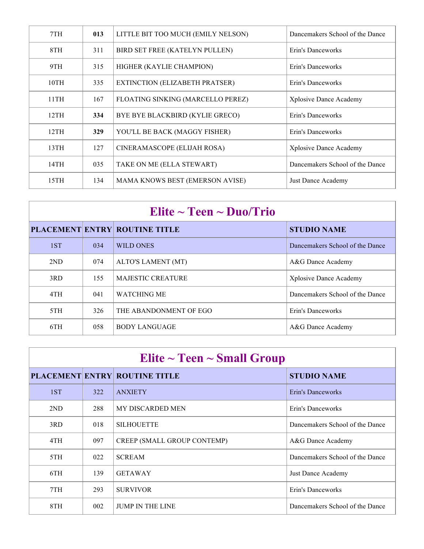| 7TH  | 013 | LITTLE BIT TOO MUCH (EMILY NELSON)     | Dancemakers School of the Dance |
|------|-----|----------------------------------------|---------------------------------|
| 8TH  | 311 | BIRD SET FREE (KATELYN PULLEN)         | Erin's Danceworks               |
| 9TH  | 315 | HIGHER (KAYLIE CHAMPION)               | Erin's Danceworks               |
| 10TH | 335 | EXTINCTION (ELIZABETH PRATSER)         | Erin's Danceworks               |
| 11TH | 167 | FLOATING SINKING (MARCELLO PEREZ)      | Xplosive Dance Academy          |
| 12TH | 334 | BYE BYE BLACKBIRD (KYLIE GRECO)        | Erin's Danceworks               |
| 12TH | 329 | YOU'LL BE BACK (MAGGY FISHER)          | Erin's Danceworks               |
| 13TH | 127 | CINERAMASCOPE (ELIJAH ROSA)            | Xplosive Dance Academy          |
| 14TH | 035 | TAKE ON ME (ELLA STEWART)              | Dancemakers School of the Dance |
| 15TH | 134 | <b>MAMA KNOWS BEST (EMERSON AVISE)</b> | Just Dance Academy              |

| Elite $\sim$ Teen $\sim$ Duo/Trio |     |                                      |                                 |
|-----------------------------------|-----|--------------------------------------|---------------------------------|
|                                   |     | <b>PLACEMENT ENTRY ROUTINE TITLE</b> | <b>STUDIO NAME</b>              |
| 1ST                               | 034 | WILD ONES                            | Dancemakers School of the Dance |
| 2ND                               | 074 | ALTO'S LAMENT (MT)                   | A&G Dance Academy               |
| 3RD                               | 155 | <b>MAJESTIC CREATURE</b>             | Xplosive Dance Academy          |
| 4TH                               | 041 | <b>WATCHING ME</b>                   | Dancemakers School of the Dance |
| 5TH                               | 326 | THE ABANDONMENT OF EGO               | Erin's Danceworks               |
| 6TH                               | 058 | <b>BODY LANGUAGE</b>                 | A&G Dance Academy               |

| Elite $\sim$ Teen $\sim$ Small Group |     |                                      |                                 |
|--------------------------------------|-----|--------------------------------------|---------------------------------|
|                                      |     | <b>PLACEMENT ENTRY ROUTINE TITLE</b> | <b>STUDIO NAME</b>              |
| 1ST                                  | 322 | <b>ANXIETY</b>                       | Erin's Danceworks               |
| 2ND                                  | 288 | <b>MY DISCARDED MEN</b>              | Erin's Danceworks               |
| 3RD                                  | 018 | <b>SILHOUETTE</b>                    | Dancemakers School of the Dance |
| 4TH                                  | 097 | CREEP (SMALL GROUP CONTEMP)          | A&G Dance Academy               |
| 5TH                                  | 022 | <b>SCREAM</b>                        | Dancemakers School of the Dance |
| 6TH                                  | 139 | <b>GETAWAY</b>                       | Just Dance Academy              |
| 7TH                                  | 293 | <b>SURVIVOR</b>                      | Erin's Danceworks               |
| 8TH                                  | 002 | <b>JUMP IN THE LINE</b>              | Dancemakers School of the Dance |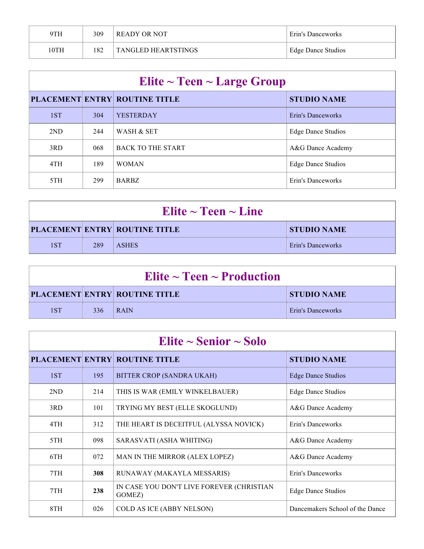| 9TH  | 309 | READY OR NOT               | Erin's Danceworks  |
|------|-----|----------------------------|--------------------|
| 10TH | 182 | <b>TANGLED HEARTSTINGS</b> | Edge Dance Studios |

| Elite $\sim$ Teen $\sim$ Large Group |     |                                      |                           |
|--------------------------------------|-----|--------------------------------------|---------------------------|
|                                      |     | <b>PLACEMENT ENTRY ROUTINE TITLE</b> | <b>STUDIO NAME</b>        |
| 1ST                                  | 304 | <b>YESTERDAY</b>                     | Erin's Danceworks         |
| 2ND                                  | 244 | WASH & SET                           | <b>Edge Dance Studios</b> |
| 3RD                                  | 068 | <b>BACK TO THE START</b>             | A&G Dance Academy         |
| 4TH                                  | 189 | <b>WOMAN</b>                         | <b>Edge Dance Studios</b> |
| 5TH                                  | 299 | <b>BARBZ</b>                         | Erin's Danceworks         |

| Elite $\sim$ Teen $\sim$ Line |     |                                      |                   |
|-------------------------------|-----|--------------------------------------|-------------------|
|                               |     | <b>PLACEMENT ENTRY ROUTINE TITLE</b> | STUDIO NAME       |
| 1ST                           | 289 | <b>ASHES</b>                         | Erin's Danceworks |

| Elite $\sim$ Teen $\sim$ Production  |     |                    |                   |
|--------------------------------------|-----|--------------------|-------------------|
| <b>PLACEMENT ENTRY ROUTINE TITLE</b> |     | <b>STUDIO NAME</b> |                   |
| 1 S T                                | 336 | RAM                | Erin's Danceworks |

| Elite $\sim$ Senior $\sim$ Solo |     |                                                     |                                 |
|---------------------------------|-----|-----------------------------------------------------|---------------------------------|
|                                 |     | <b>PLACEMENT ENTRY ROUTINE TITLE</b>                | <b>STUDIO NAME</b>              |
| 1ST                             | 195 | BITTER CROP (SANDRA UKAH)                           | Edge Dance Studios              |
| 2ND                             | 214 | THIS IS WAR (EMILY WINKELBAUER)                     | <b>Edge Dance Studios</b>       |
| 3RD                             | 101 | TRYING MY BEST (ELLE SKOGLUND)                      | A&G Dance Academy               |
| 4TH                             | 312 | THE HEART IS DECEITFUL (ALYSSA NOVICK)              | Erin's Danceworks               |
| 5TH                             | 098 | SARASVATI (ASHA WHITING)                            | A&G Dance Academy               |
| 6TH                             | 072 | MAN IN THE MIRROR (ALEX LOPEZ)                      | A&G Dance Academy               |
| 7TH                             | 308 | RUNAWAY (MAKAYLA MESSARIS)                          | Erin's Danceworks               |
| 7TH                             | 238 | IN CASE YOU DON'T LIVE FOREVER (CHRISTIAN<br>GOMEZ) | <b>Edge Dance Studios</b>       |
| 8TH                             | 026 | COLD AS ICE (ABBY NELSON)                           | Dancemakers School of the Dance |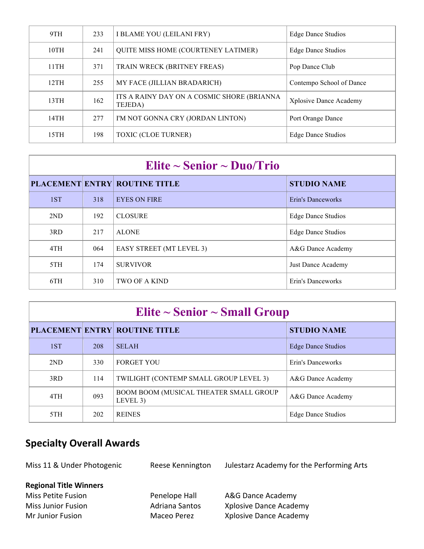|                                                           | 9TH  | 233                | I BLAME YOU (LEILANI FRY)                             | <b>Edge Dance Studios</b> |
|-----------------------------------------------------------|------|--------------------|-------------------------------------------------------|---------------------------|
| <b>QUITE MISS HOME (COURTENEY LATIMER)</b><br>10TH<br>241 |      | Edge Dance Studios |                                                       |                           |
|                                                           | 11TH | 371                | TRAIN WRECK (BRITNEY FREAS)                           | Pop Dance Club            |
|                                                           | 12TH | 255                | MY FACE (JILLIAN BRADARICH)                           | Contempo School of Dance  |
|                                                           | 13TH | 162                | ITS A RAINY DAY ON A COSMIC SHORE (BRIANNA<br>TEJEDA) | Xplosive Dance Academy    |
|                                                           | 14TH | 277                | I'M NOT GONNA CRY (JORDAN LINTON)                     | Port Orange Dance         |
|                                                           | 15TH | 198                | <b>TOXIC (CLOE TURNER)</b>                            | Edge Dance Studios        |

## **Elite ~ Senior ~ Duo/Trio**

|  |     |     | <b>PLACEMENT ENTRY ROUTINE TITLE</b> | <b>STUDIO NAME</b>        |
|--|-----|-----|--------------------------------------|---------------------------|
|  | 1ST | 318 | <b>EYES ON FIRE</b>                  | Erin's Danceworks         |
|  | 2ND | 192 | <b>CLOSURE</b>                       | <b>Edge Dance Studios</b> |
|  | 3RD | 217 | <b>ALONE</b>                         | <b>Edge Dance Studios</b> |
|  | 4TH | 064 | <b>EASY STREET (MT LEVEL 3)</b>      | A&G Dance Academy         |
|  | 5TH | 174 | <b>SURVIVOR</b>                      | Just Dance Academy        |
|  | 6TH | 310 | <b>TWO OF A KIND</b>                 | Erin's Danceworks         |
|  |     |     |                                      |                           |

| Elite $\sim$ Senior $\sim$ Small Group |     |                                                    |                           |
|----------------------------------------|-----|----------------------------------------------------|---------------------------|
|                                        |     | <b>PLACEMENT ENTRY ROUTINE TITLE</b>               | <b>STUDIO NAME</b>        |
| 1ST                                    | 208 | <b>SELAH</b>                                       | <b>Edge Dance Studios</b> |
| 2ND                                    | 330 | <b>FORGET YOU</b>                                  | Erin's Danceworks         |
| 3RD                                    | 114 | TWILIGHT (CONTEMP SMALL GROUP LEVEL 3)             | A&G Dance Academy         |
| 4TH                                    | 093 | BOOM BOOM (MUSICAL THEATER SMALL GROUP<br>LEVEL 3) | A&G Dance Academy         |
| 5TH                                    | 202 | <b>REINES</b>                                      | Edge Dance Studios        |

### **Specialty Overall Awards**

Miss 11 & Under Photogenic Reese Kennington Julestarz Academy for the Performing Arts

#### **Regional Title Winners**

Miss Petite Fusion **Penelope Hall** A&G Dance Academy

Miss Junior Fusion **Adriana Santos** Xplosive Dance Academy Mr Junior Fusion **Maceo Perez** Xplosive Dance Academy